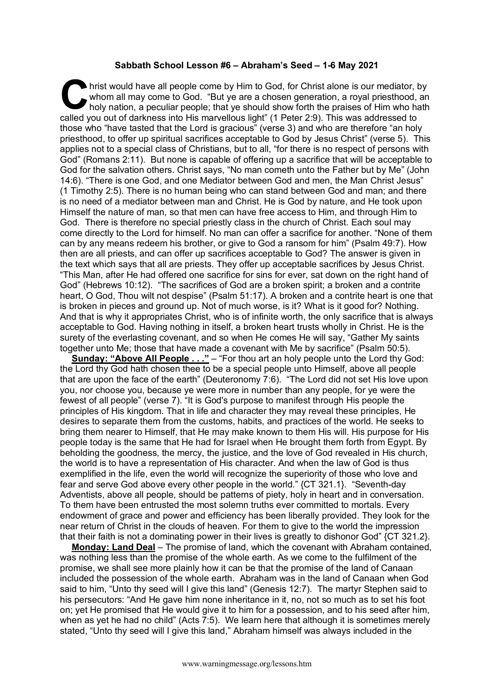## **Sabbath School Lesson #6 – Abraham's Seed – 1-6 May 2021**

hrist would have all people come by Him to God, for Christ alone is our mediator, by whom all may come to God. "But ye are a chosen generation, a royal priesthood, an holy nation, a peculiar people; that ye should show forth the praises of Him who hath I hrist would have all people come by Him to God, for Christ alone is our mediator, I whom all may come to God. "But ye are a chosen generation, a royal priesthood, holy nation, a peculiar people; that ye should show forth those who "have tasted that the Lord is gracious" (verse 3) and who are therefore "an holy priesthood, to offer up spiritual sacrifices acceptable to God by Jesus Christ" (verse 5). This applies not to a special class of Christians, but to all, "for there is no respect of persons with God" (Romans 2:11). But none is capable of offering up a sacrifice that will be acceptable to God for the salvation others. Christ says, "No man cometh unto the Father but by Me" (John 14:6). "There is one God, and one Mediator between God and men, the Man Christ Jesus" (1 Timothy 2:5). There is no human being who can stand between God and man; and there is no need of a mediator between man and Christ. He is God by nature, and He took upon Himself the nature of man, so that men can have free access to Him, and through Him to God. There is therefore no special priestly class in the church of Christ. Each soul may come directly to the Lord for himself. No man can offer a sacrifice for another. "None of them can by any means redeem his brother, or give to God a ransom for him" (Psalm 49:7). How then are all priests, and can offer up sacrifices acceptable to God? The answer is given in the text which says that all are priests. They offer up acceptable sacrifices by Jesus Christ. "This Man, after He had offered one sacrifice for sins for ever, sat down on the right hand of God" (Hebrews 10:12). "The sacrifices of God are a broken spirit; a broken and a contrite heart, O God, Thou wilt not despise" (Psalm 51:17). A broken and a contrite heart is one that is broken in pieces and ground up. Not of much worse, is it? What is it good for? Nothing. And that is why it appropriates Christ, who is of infinite worth, the only sacrifice that is always acceptable to God. Having nothing in itself, a broken heart trusts wholly in Christ. He is the surety of the everlasting covenant, and so when He comes He will say, "Gather My saints together unto Me; those that have made a covenant with Me by sacrifice" (Psalm 50:5).

**Sunday: "Above All People . . ."** – "For thou art an holy people unto the Lord thy God: the Lord thy God hath chosen thee to be a special people unto Himself, above all people that are upon the face of the earth" (Deuteronomy 7:6). "The Lord did not set His love upon you, nor choose you, because ye were more in number than any people, for ye were the fewest of all people" (verse 7). "It is God's purpose to manifest through His people the principles of His kingdom. That in life and character they may reveal these principles, He desires to separate them from the customs, habits, and practices of the world. He seeks to bring them nearer to Himself, that He may make known to them His will. His purpose for His people today is the same that He had for Israel when He brought them forth from Egypt. By beholding the goodness, the mercy, the justice, and the love of God revealed in His church, the world is to have a representation of His character. And when the law of God is thus exemplified in the life, even the world will recognize the superiority of those who love and fear and serve God above every other people in the world." {CT 321.1}. "Seventh-day Adventists, above all people, should be patterns of piety, holy in heart and in conversation. To them have been entrusted the most solemn truths ever committed to mortals. Every endowment of grace and power and efficiency has been liberally provided. They look for the near return of Christ in the clouds of heaven. For them to give to the world the impression that their faith is not a dominating power in their lives is greatly to dishonor God" {CT 321.2}.

**Monday: Land Deal** – The promise of land, which the covenant with Abraham contained, was nothing less than the promise of the whole earth. As we come to the fulfilment of the promise, we shall see more plainly how it can be that the promise of the land of Canaan included the possession of the whole earth. Abraham was in the land of Canaan when God said to him, "Unto thy seed will I give this land" (Genesis 12:7). The martyr Stephen said to his persecutors: "And He gave him none inheritance in it, no, not so much as to set his foot on; yet He promised that He would give it to him for a possession, and to his seed after him, when as yet he had no child" (Acts 7:5). We learn here that although it is sometimes merely stated, "Unto thy seed will I give this land," Abraham himself was always included in the